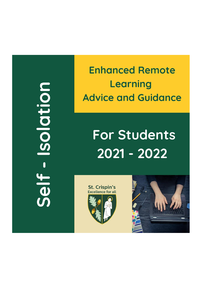noitblose - Jish

**Enhanced Remote** Learning **Advice and Guidance** 

## **For Students** 2021 - 2022

**St. Crispin's**<br>Excellence for all



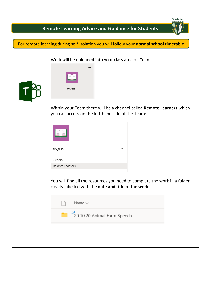St. Crispin's

## **Remote Learning Advice and Guidance for Students**

For remote learning during self-isolation you will follow your **normal school timetable**

| Work will be uploaded into your class area on Teams                                                                                |
|------------------------------------------------------------------------------------------------------------------------------------|
| $\cdots$                                                                                                                           |
|                                                                                                                                    |
| 9x/En1                                                                                                                             |
| Within your Team there will be a channel called Remote Learners which<br>you can access on the left-hand side of the Team:         |
|                                                                                                                                    |
| 9x/En1<br>                                                                                                                         |
| General                                                                                                                            |
| Remote Learners                                                                                                                    |
| You will find all the resources you need to complete the work in a folder<br>clearly labelled with the date and title of the work. |
| Name $\vee$                                                                                                                        |
| $\frac{N}{20}$ <sup>2</sup> 20.10.20 Animal Farm Speech                                                                            |
|                                                                                                                                    |
|                                                                                                                                    |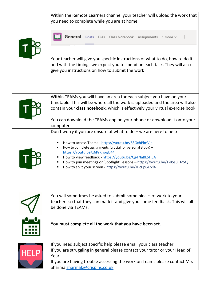|             | Within the Remote Learners channel your teacher will upload the work that<br>you need to complete while you are at home                                                                                                                                                                                                                          |
|-------------|--------------------------------------------------------------------------------------------------------------------------------------------------------------------------------------------------------------------------------------------------------------------------------------------------------------------------------------------------|
|             | General Posts Files Class Notebook Assignments 1 more v<br>$^{+}$                                                                                                                                                                                                                                                                                |
|             | Your teacher will give you specific instructions of what to do, how to do it<br>and with the timings we expect you to spend on each task. They will also<br>give you instructions on how to submit the work                                                                                                                                      |
|             | Within TEAMs you will have an area for each subject you have on your                                                                                                                                                                                                                                                                             |
|             | timetable. This will be where all the work is uploaded and the area will also<br>contain your class notebook, which is effectively your virtual exercise book                                                                                                                                                                                    |
|             | You can download the TEAMs app on your phone or download it onto your<br>computer                                                                                                                                                                                                                                                                |
|             | Don't worry if you are unsure of what to $do$ – we are here to help                                                                                                                                                                                                                                                                              |
|             | How to access Teams - https://youtu.be/Z8GxhPimVlc<br>How to complete assignments (crucial for personal study) -<br>https://youtu.be/x6PrKnpgU44<br>How to view feedback - https://youtu.be/Qs4NaBL5H5A<br>How to join meetings or 'Spotlight' lessons - https://youtu.be/T-85su JZ5Q<br>How to split your screen - https://youtu.be/JHcPpGi7Zl4 |
|             | You will sometimes be asked to submit some pieces of work to your<br>teachers so that they can mark it and give you some feedback. This will all                                                                                                                                                                                                 |
|             | be done via TEAMs.                                                                                                                                                                                                                                                                                                                               |
|             | You must complete all the work that you have been set.                                                                                                                                                                                                                                                                                           |
| <u>HEL!</u> | If you need subject specific help please email your class teacher<br>If you are struggling in general please contact your tutor or your Head of<br>Year<br>If you are having trouble accessing the work on Teams please contact Mrs<br>Sharma sharmak@crispins.co.uk                                                                             |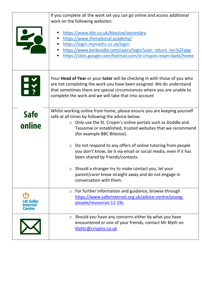|                       | If you complete all the work set you can go online and access additional<br>work on the following websites:                                                                                                                                                                                                                                                                                                                                                                                                                                                                                                                       |
|-----------------------|-----------------------------------------------------------------------------------------------------------------------------------------------------------------------------------------------------------------------------------------------------------------------------------------------------------------------------------------------------------------------------------------------------------------------------------------------------------------------------------------------------------------------------------------------------------------------------------------------------------------------------------|
|                       | https://www.bbc.co.uk/bitesize/secondary<br>https://www.thenational.academy/<br>https://login.mymaths.co.uk/login<br>https://www.kerboodle.com/users/login?user_return_to=%2Fapp<br>https://sites.google.com/hotmail.com/st-crispins-exam-bank/home                                                                                                                                                                                                                                                                                                                                                                               |
| <b>上义</b>             | Your Head of Year or your tutor will be checking in with those of you who<br>are not completing the work you have been assigned. We do understand<br>that sometimes there are special circumstances where you are unable to<br>complete the work and we will take that into account                                                                                                                                                                                                                                                                                                                                               |
| <b>Safe</b><br>online | Whilst working online from home, please ensure you are keeping yourself<br>safe at all times by following the advice below:<br>$\circ$ Only use the St. Crispin's online portals such as Doddle and<br>Tassomai or established, trusted websites that we recommend<br>(for example BBC Bitesize).<br>$\circ$ Do not respond to any offers of online tutoring from people<br>you don't know, be it via email or social media, even if it has<br>been shared by friends/contacts.<br>$\circ$ Should a stranger try to make contact you, let your<br>parent/carer know straight away and do not engage in<br>conversation with them. |
|                       | For further information and guidance, browse through<br>$\circ$<br>https://www.saferinternet.org.uk/advice-centre/young-<br>people/resources-11-19s                                                                                                                                                                                                                                                                                                                                                                                                                                                                               |
|                       | Should you have any concerns either by what you have<br>$\circ$<br>encountered or one of your friends, contact Mr Blyth on<br>blythr@crispins.co.uk                                                                                                                                                                                                                                                                                                                                                                                                                                                                               |